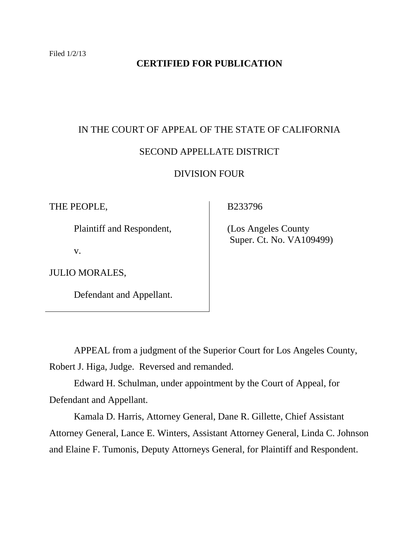## **CERTIFIED FOR PUBLICATION**

# IN THE COURT OF APPEAL OF THE STATE OF CALIFORNIA SECOND APPELLATE DISTRICT DIVISION FOUR

THE PEOPLE,

Plaintiff and Respondent,

v.

JULIO MORALES,

Defendant and Appellant.

B233796

 (Los Angeles County Super. Ct. No. VA109499)

APPEAL from a judgment of the Superior Court for Los Angeles County, Robert J. Higa, Judge. Reversed and remanded.

Edward H. Schulman, under appointment by the Court of Appeal, for Defendant and Appellant.

Kamala D. Harris, Attorney General, Dane R. Gillette, Chief Assistant Attorney General, Lance E. Winters, Assistant Attorney General, Linda C. Johnson and Elaine F. Tumonis, Deputy Attorneys General, for Plaintiff and Respondent.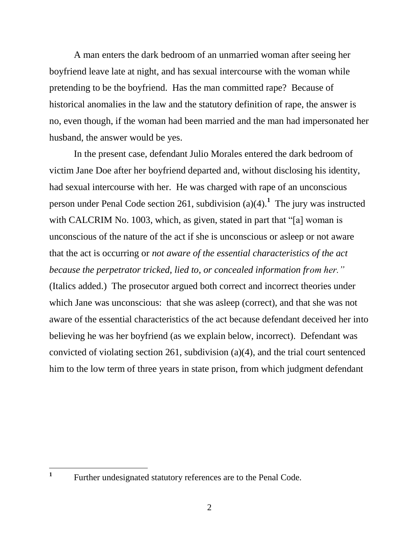A man enters the dark bedroom of an unmarried woman after seeing her boyfriend leave late at night, and has sexual intercourse with the woman while pretending to be the boyfriend. Has the man committed rape? Because of historical anomalies in the law and the statutory definition of rape, the answer is no, even though, if the woman had been married and the man had impersonated her husband, the answer would be yes.

In the present case, defendant Julio Morales entered the dark bedroom of victim Jane Doe after her boyfriend departed and, without disclosing his identity, had sexual intercourse with her. He was charged with rape of an unconscious person under Penal Code section 261, subdivision (a)(4).**<sup>1</sup>** The jury was instructed with CALCRIM No. 1003, which, as given, stated in part that "[a] woman is unconscious of the nature of the act if she is unconscious or asleep or not aware that the act is occurring or *not aware of the essential characteristics of the act because the perpetrator tricked, lied to, or concealed information from her."* (Italics added.) The prosecutor argued both correct and incorrect theories under which Jane was unconscious: that she was asleep (correct), and that she was not aware of the essential characteristics of the act because defendant deceived her into believing he was her boyfriend (as we explain below, incorrect). Defendant was convicted of violating section 261, subdivision (a)(4), and the trial court sentenced him to the low term of three years in state prison, from which judgment defendant

 $\overline{a}$ 

**<sup>1</sup>** Further undesignated statutory references are to the Penal Code.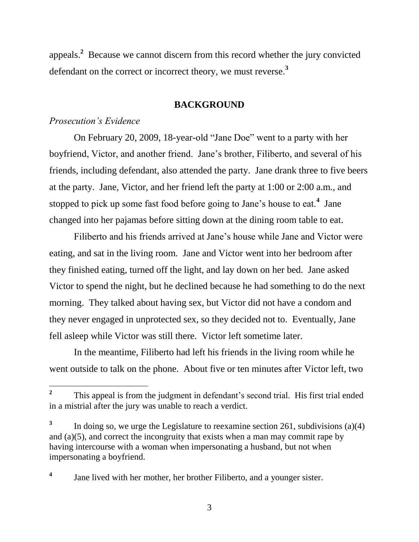appeals.**<sup>2</sup>** Because we cannot discern from this record whether the jury convicted defendant on the correct or incorrect theory, we must reverse.**<sup>3</sup>**

## **BACKGROUND**

## *Prosecution's Evidence*

 $\overline{a}$ 

On February 20, 2009, 18-year-old "Jane Doe" went to a party with her boyfriend, Victor, and another friend. Jane"s brother, Filiberto, and several of his friends, including defendant, also attended the party. Jane drank three to five beers at the party. Jane, Victor, and her friend left the party at 1:00 or 2:00 a.m., and stopped to pick up some fast food before going to Jane"s house to eat.**<sup>4</sup>** Jane changed into her pajamas before sitting down at the dining room table to eat.

Filiberto and his friends arrived at Jane"s house while Jane and Victor were eating, and sat in the living room. Jane and Victor went into her bedroom after they finished eating, turned off the light, and lay down on her bed. Jane asked Victor to spend the night, but he declined because he had something to do the next morning. They talked about having sex, but Victor did not have a condom and they never engaged in unprotected sex, so they decided not to. Eventually, Jane fell asleep while Victor was still there. Victor left sometime later.

In the meantime, Filiberto had left his friends in the living room while he went outside to talk on the phone. About five or ten minutes after Victor left, two

**<sup>2</sup>** This appeal is from the judgment in defendant's second trial. His first trial ended in a mistrial after the jury was unable to reach a verdict.

**<sup>3</sup>** In doing so, we urge the Legislature to reexamine section 261, subdivisions (a)(4) and (a)(5), and correct the incongruity that exists when a man may commit rape by having intercourse with a woman when impersonating a husband, but not when impersonating a boyfriend.

**<sup>4</sup>** Jane lived with her mother, her brother Filiberto, and a younger sister.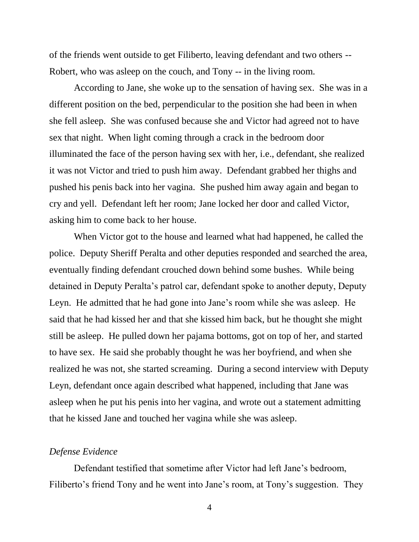of the friends went outside to get Filiberto, leaving defendant and two others -- Robert, who was asleep on the couch, and Tony -- in the living room.

According to Jane, she woke up to the sensation of having sex. She was in a different position on the bed, perpendicular to the position she had been in when she fell asleep. She was confused because she and Victor had agreed not to have sex that night. When light coming through a crack in the bedroom door illuminated the face of the person having sex with her, i.e., defendant, she realized it was not Victor and tried to push him away. Defendant grabbed her thighs and pushed his penis back into her vagina. She pushed him away again and began to cry and yell. Defendant left her room; Jane locked her door and called Victor, asking him to come back to her house.

When Victor got to the house and learned what had happened, he called the police. Deputy Sheriff Peralta and other deputies responded and searched the area, eventually finding defendant crouched down behind some bushes. While being detained in Deputy Peralta"s patrol car, defendant spoke to another deputy, Deputy Leyn. He admitted that he had gone into Jane's room while she was asleep. He said that he had kissed her and that she kissed him back, but he thought she might still be asleep. He pulled down her pajama bottoms, got on top of her, and started to have sex. He said she probably thought he was her boyfriend, and when she realized he was not, she started screaming. During a second interview with Deputy Leyn, defendant once again described what happened, including that Jane was asleep when he put his penis into her vagina, and wrote out a statement admitting that he kissed Jane and touched her vagina while she was asleep.

### *Defense Evidence*

Defendant testified that sometime after Victor had left Jane"s bedroom, Filiberto's friend Tony and he went into Jane's room, at Tony's suggestion. They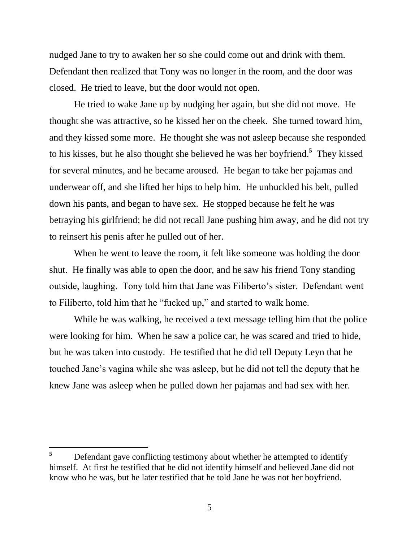nudged Jane to try to awaken her so she could come out and drink with them. Defendant then realized that Tony was no longer in the room, and the door was closed. He tried to leave, but the door would not open.

He tried to wake Jane up by nudging her again, but she did not move. He thought she was attractive, so he kissed her on the cheek. She turned toward him, and they kissed some more. He thought she was not asleep because she responded to his kisses, but he also thought she believed he was her boyfriend.**<sup>5</sup>** They kissed for several minutes, and he became aroused. He began to take her pajamas and underwear off, and she lifted her hips to help him. He unbuckled his belt, pulled down his pants, and began to have sex. He stopped because he felt he was betraying his girlfriend; he did not recall Jane pushing him away, and he did not try to reinsert his penis after he pulled out of her.

When he went to leave the room, it felt like someone was holding the door shut. He finally was able to open the door, and he saw his friend Tony standing outside, laughing. Tony told him that Jane was Filiberto"s sister. Defendant went to Filiberto, told him that he "fucked up," and started to walk home.

While he was walking, he received a text message telling him that the police were looking for him. When he saw a police car, he was scared and tried to hide, but he was taken into custody. He testified that he did tell Deputy Leyn that he touched Jane"s vagina while she was asleep, but he did not tell the deputy that he knew Jane was asleep when he pulled down her pajamas and had sex with her.

<sup>5</sup> **<sup>5</sup>** Defendant gave conflicting testimony about whether he attempted to identify himself. At first he testified that he did not identify himself and believed Jane did not know who he was, but he later testified that he told Jane he was not her boyfriend.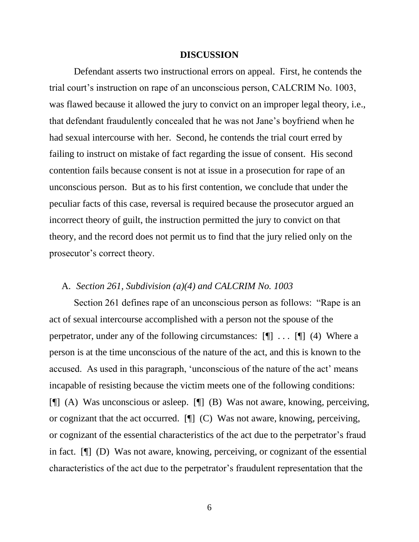#### **DISCUSSION**

Defendant asserts two instructional errors on appeal. First, he contends the trial court's instruction on rape of an unconscious person, CALCRIM No. 1003, was flawed because it allowed the jury to convict on an improper legal theory, i.e., that defendant fraudulently concealed that he was not Jane"s boyfriend when he had sexual intercourse with her. Second, he contends the trial court erred by failing to instruct on mistake of fact regarding the issue of consent. His second contention fails because consent is not at issue in a prosecution for rape of an unconscious person. But as to his first contention, we conclude that under the peculiar facts of this case, reversal is required because the prosecutor argued an incorrect theory of guilt, the instruction permitted the jury to convict on that theory, and the record does not permit us to find that the jury relied only on the prosecutor"s correct theory.

## A. *Section 261, Subdivision (a)(4) and CALCRIM No. 1003*

Section 261 defines rape of an unconscious person as follows: "Rape is an act of sexual intercourse accomplished with a person not the spouse of the perpetrator, under any of the following circumstances:  $[\P]$  ...  $[\P]$  (4) Where a person is at the time unconscious of the nature of the act, and this is known to the accused. As used in this paragraph, 'unconscious of the nature of the act' means incapable of resisting because the victim meets one of the following conditions: [¶] (A) Was unconscious or asleep. [¶] (B) Was not aware, knowing, perceiving, or cognizant that the act occurred. [¶] (C) Was not aware, knowing, perceiving, or cognizant of the essential characteristics of the act due to the perpetrator"s fraud in fact. [¶] (D) Was not aware, knowing, perceiving, or cognizant of the essential characteristics of the act due to the perpetrator"s fraudulent representation that the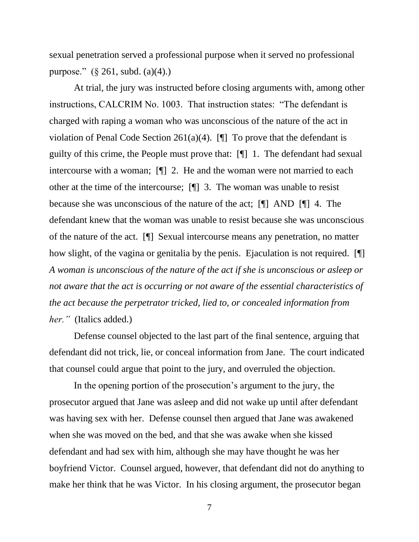sexual penetration served a professional purpose when it served no professional purpose."  $(\S 261, \text{subd.} (a)(4))$ .

At trial, the jury was instructed before closing arguments with, among other instructions, CALCRIM No. 1003. That instruction states: "The defendant is charged with raping a woman who was unconscious of the nature of the act in violation of Penal Code Section 261(a)(4).  $[\n\Pi]$  To prove that the defendant is guilty of this crime, the People must prove that: [¶] 1. The defendant had sexual intercourse with a woman; [¶] 2. He and the woman were not married to each other at the time of the intercourse; [¶] 3. The woman was unable to resist because she was unconscious of the nature of the act; [¶] AND [¶] 4. The defendant knew that the woman was unable to resist because she was unconscious of the nature of the act. [¶] Sexual intercourse means any penetration, no matter how slight, of the vagina or genitalia by the penis. Ejaculation is not required. [ *A woman is unconscious of the nature of the act if she is unconscious or asleep or not aware that the act is occurring or not aware of the essential characteristics of the act because the perpetrator tricked, lied to, or concealed information from her."* (Italics added.)

Defense counsel objected to the last part of the final sentence, arguing that defendant did not trick, lie, or conceal information from Jane. The court indicated that counsel could argue that point to the jury, and overruled the objection.

In the opening portion of the prosecution"s argument to the jury, the prosecutor argued that Jane was asleep and did not wake up until after defendant was having sex with her. Defense counsel then argued that Jane was awakened when she was moved on the bed, and that she was awake when she kissed defendant and had sex with him, although she may have thought he was her boyfriend Victor. Counsel argued, however, that defendant did not do anything to make her think that he was Victor. In his closing argument, the prosecutor began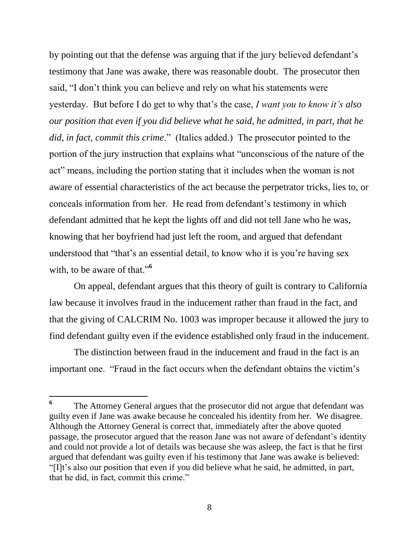by pointing out that the defense was arguing that if the jury believed defendant"s testimony that Jane was awake, there was reasonable doubt. The prosecutor then said, "I don"t think you can believe and rely on what his statements were yesterday. But before I do get to why that"s the case, *I want you to know it's also our position that even if you did believe what he said, he admitted, in part, that he did, in fact, commit this crime*." (Italics added.) The prosecutor pointed to the portion of the jury instruction that explains what "unconscious of the nature of the act" means, including the portion stating that it includes when the woman is not aware of essential characteristics of the act because the perpetrator tricks, lies to, or conceals information from her. He read from defendant"s testimony in which defendant admitted that he kept the lights off and did not tell Jane who he was, knowing that her boyfriend had just left the room, and argued that defendant understood that "that"s an essential detail, to know who it is you"re having sex with, to be aware of that."**<sup>6</sup>**

On appeal, defendant argues that this theory of guilt is contrary to California law because it involves fraud in the inducement rather than fraud in the fact, and that the giving of CALCRIM No. 1003 was improper because it allowed the jury to find defendant guilty even if the evidence established only fraud in the inducement.

The distinction between fraud in the inducement and fraud in the fact is an important one. "Fraud in the fact occurs when the defendant obtains the victim"s

 $\overline{a}$ 

**<sup>6</sup>** The Attorney General argues that the prosecutor did not argue that defendant was guilty even if Jane was awake because he concealed his identity from her. We disagree. Although the Attorney General is correct that, immediately after the above quoted passage, the prosecutor argued that the reason Jane was not aware of defendant"s identity and could not provide a lot of details was because she was asleep, the fact is that he first argued that defendant was guilty even if his testimony that Jane was awake is believed: "[I]t"s also our position that even if you did believe what he said, he admitted, in part, that he did, in fact, commit this crime."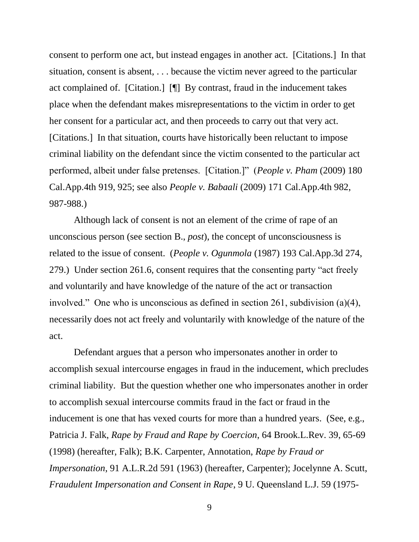consent to perform one act, but instead engages in another act. [Citations.] In that situation, consent is absent, . . . because the victim never agreed to the particular act complained of. [Citation.] [¶] By contrast, fraud in the inducement takes place when the defendant makes misrepresentations to the victim in order to get her consent for a particular act, and then proceeds to carry out that very act. [Citations.] In that situation, courts have historically been reluctant to impose criminal liability on the defendant since the victim consented to the particular act performed, albeit under false pretenses. [Citation.]" (*People v. Pham* (2009) 180 Cal.App.4th 919, 925; see also *People v. Babaali* (2009) 171 Cal.App.4th 982, 987-988.)

Although lack of consent is not an element of the crime of rape of an unconscious person (see section B., *post*), the concept of unconsciousness is related to the issue of consent. (*People v. Ogunmola* (1987) 193 Cal.App.3d 274, 279.) Under section 261.6, consent requires that the consenting party "act freely and voluntarily and have knowledge of the nature of the act or transaction involved." One who is unconscious as defined in section 261, subdivision (a)(4), necessarily does not act freely and voluntarily with knowledge of the nature of the act.

Defendant argues that a person who impersonates another in order to accomplish sexual intercourse engages in fraud in the inducement, which precludes criminal liability. But the question whether one who impersonates another in order to accomplish sexual intercourse commits fraud in the fact or fraud in the inducement is one that has vexed courts for more than a hundred years. (See, e.g., Patricia J. Falk, *Rape by Fraud and Rape by Coercion*, 64 Brook.L.Rev. 39, 65-69 (1998) (hereafter, Falk); B.K. Carpenter, Annotation, *Rape by Fraud or Impersonation*, 91 A.L.R.2d 591 (1963) (hereafter, Carpenter); Jocelynne A. Scutt, *Fraudulent Impersonation and Consent in Rape*, 9 U. Queensland L.J. 59 (1975-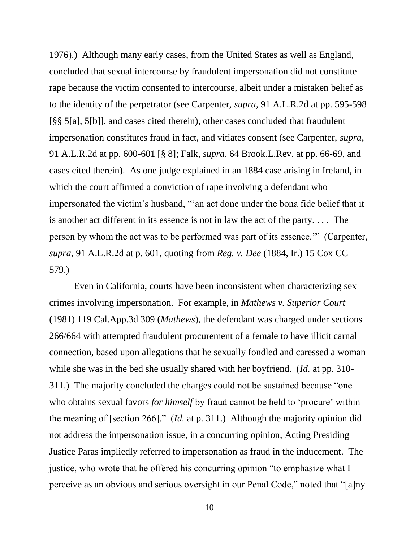1976).) Although many early cases, from the United States as well as England, concluded that sexual intercourse by fraudulent impersonation did not constitute rape because the victim consented to intercourse, albeit under a mistaken belief as to the identity of the perpetrator (see Carpenter, *supra*, 91 A.L.R.2d at pp. 595-598 [§§ 5[a], 5[b]], and cases cited therein), other cases concluded that fraudulent impersonation constitutes fraud in fact, and vitiates consent (see Carpenter, *supra*, 91 A.L.R.2d at pp. 600-601 [§ 8]; Falk, *supra*, 64 Brook.L.Rev. at pp. 66-69, and cases cited therein). As one judge explained in an 1884 case arising in Ireland, in which the court affirmed a conviction of rape involving a defendant who impersonated the victim"s husband, ""an act done under the bona fide belief that it is another act different in its essence is not in law the act of the party. . . . The person by whom the act was to be performed was part of its essence."" (Carpenter, *supra*, 91 A.L.R.2d at p. 601, quoting from *Reg. v. Dee* (1884, Ir.) 15 Cox CC 579.)

Even in California, courts have been inconsistent when characterizing sex crimes involving impersonation. For example, in *Mathews v. Superior Court* (1981) 119 Cal.App.3d 309 (*Mathews*), the defendant was charged under sections 266/664 with attempted fraudulent procurement of a female to have illicit carnal connection, based upon allegations that he sexually fondled and caressed a woman while she was in the bed she usually shared with her boyfriend. (*Id.* at pp. 310- 311.) The majority concluded the charges could not be sustained because "one who obtains sexual favors *for himself* by fraud cannot be held to 'procure' within the meaning of [section 266]." (*Id.* at p. 311.) Although the majority opinion did not address the impersonation issue, in a concurring opinion, Acting Presiding Justice Paras impliedly referred to impersonation as fraud in the inducement. The justice, who wrote that he offered his concurring opinion "to emphasize what I perceive as an obvious and serious oversight in our Penal Code," noted that "[a]ny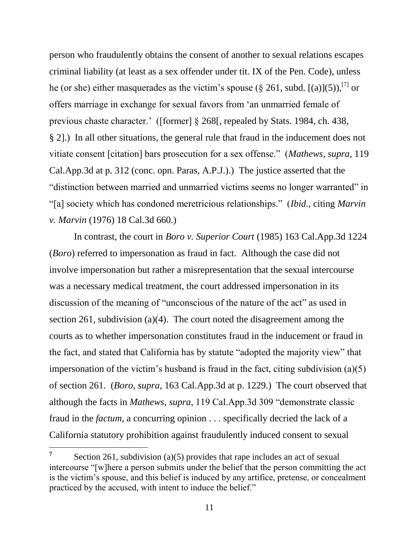person who fraudulently obtains the consent of another to sexual relations escapes criminal liability (at least as a sex offender under tit. IX of the Pen. Code), unless he (or she) either masquerades as the victim's spouse (§ 261, subd. [(a)](5)),<sup>[7]</sup> or offers marriage in exchange for sexual favors from "an unmarried female of previous chaste character." ([former] § 268[, repealed by Stats. 1984, ch. 438, § 2].) In all other situations, the general rule that fraud in the inducement does not vitiate consent [citation] bars prosecution for a sex offense." (*Mathews*, *supra*, 119 Cal.App.3d at p. 312 (conc. opn. Paras, A.P.J.).) The justice asserted that the "distinction between married and unmarried victims seems no longer warranted" in "[a] society which has condoned meretricious relationships." (*Ibid.*, citing *Marvin v. Marvin* (1976) 18 Cal.3d 660.)

In contrast, the court in *Boro v. Superior Court* (1985) 163 Cal.App.3d 1224 (*Boro*) referred to impersonation as fraud in fact. Although the case did not involve impersonation but rather a misrepresentation that the sexual intercourse was a necessary medical treatment, the court addressed impersonation in its discussion of the meaning of "unconscious of the nature of the act" as used in section 261, subdivision (a)(4). The court noted the disagreement among the courts as to whether impersonation constitutes fraud in the inducement or fraud in the fact, and stated that California has by statute "adopted the majority view" that impersonation of the victim's husband is fraud in the fact, citing subdivision  $(a)(5)$ of section 261. (*Boro*, *supra*, 163 Cal.App.3d at p. 1229.) The court observed that although the facts in *Mathews*, *supra*, 119 Cal.App.3d 309 "demonstrate classic fraud in the *factum*, a concurring opinion . . . specifically decried the lack of a California statutory prohibition against fraudulently induced consent to sexual

**<sup>7</sup>** Section 261, subdivision (a)(5) provides that rape includes an act of sexual intercourse "[w]here a person submits under the belief that the person committing the act is the victim"s spouse, and this belief is induced by any artifice, pretense, or concealment practiced by the accused, with intent to induce the belief."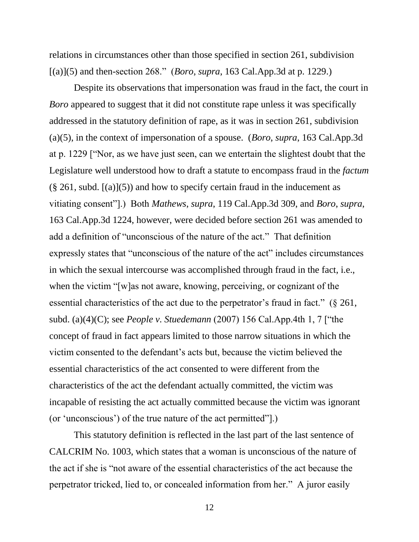relations in circumstances other than those specified in section 261, subdivision [(a)](5) and then-section 268." (*Boro*, *supra*, 163 Cal.App.3d at p. 1229.)

Despite its observations that impersonation was fraud in the fact, the court in *Boro* appeared to suggest that it did not constitute rape unless it was specifically addressed in the statutory definition of rape, as it was in section 261, subdivision (a)(5), in the context of impersonation of a spouse. (*Boro*, *supra*, 163 Cal.App.3d at p. 1229 ["Nor, as we have just seen, can we entertain the slightest doubt that the Legislature well understood how to draft a statute to encompass fraud in the *factum*  $(\S 261, \text{subd.}[(a)](5))$  and how to specify certain fraud in the inducement as vitiating consent"].) Both *Mathews*, *supra*, 119 Cal.App.3d 309, and *Boro*, *supra*, 163 Cal.App.3d 1224, however, were decided before section 261 was amended to add a definition of "unconscious of the nature of the act." That definition expressly states that "unconscious of the nature of the act" includes circumstances in which the sexual intercourse was accomplished through fraud in the fact, i.e., when the victim "[w]as not aware, knowing, perceiving, or cognizant of the essential characteristics of the act due to the perpetrator's fraud in fact."  $(\S$  261, subd. (a)(4)(C); see *People v. Stuedemann* (2007) 156 Cal.App.4th 1, 7 ["the concept of fraud in fact appears limited to those narrow situations in which the victim consented to the defendant"s acts but, because the victim believed the essential characteristics of the act consented to were different from the characteristics of the act the defendant actually committed, the victim was incapable of resisting the act actually committed because the victim was ignorant (or "unconscious") of the true nature of the act permitted"].)

This statutory definition is reflected in the last part of the last sentence of CALCRIM No. 1003, which states that a woman is unconscious of the nature of the act if she is "not aware of the essential characteristics of the act because the perpetrator tricked, lied to, or concealed information from her." A juror easily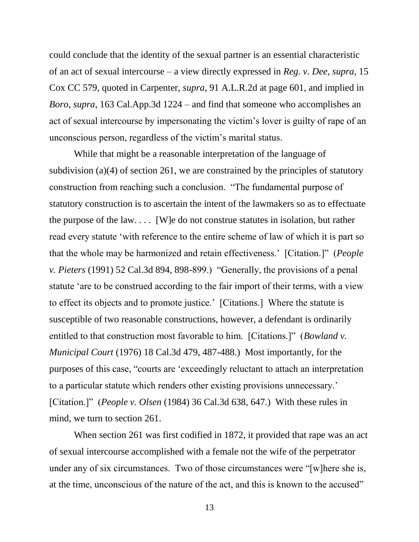could conclude that the identity of the sexual partner is an essential characteristic of an act of sexual intercourse – a view directly expressed in *Reg. v. Dee*, *supra*, 15 Cox CC 579, quoted in Carpenter, *supra*, 91 A.L.R.2d at page 601, and implied in *Boro*, *supra*, 163 Cal.App.3d 1224 – and find that someone who accomplishes an act of sexual intercourse by impersonating the victim"s lover is guilty of rape of an unconscious person, regardless of the victim"s marital status.

While that might be a reasonable interpretation of the language of subdivision (a)(4) of section 261, we are constrained by the principles of statutory construction from reaching such a conclusion. "The fundamental purpose of statutory construction is to ascertain the intent of the lawmakers so as to effectuate the purpose of the law.... [W]e do not construe statutes in isolation, but rather read every statute "with reference to the entire scheme of law of which it is part so that the whole may be harmonized and retain effectiveness." [Citation.]" (*People v. Pieters* (1991) 52 Cal.3d 894, 898-899.) "Generally, the provisions of a penal statute "are to be construed according to the fair import of their terms, with a view to effect its objects and to promote justice." [Citations.] Where the statute is susceptible of two reasonable constructions, however, a defendant is ordinarily entitled to that construction most favorable to him. [Citations.]" (*Bowland v. Municipal Court* (1976) 18 Cal.3d 479, 487-488.) Most importantly, for the purposes of this case, "courts are "exceedingly reluctant to attach an interpretation to a particular statute which renders other existing provisions unnecessary." [Citation.]" (*People v. Olsen* (1984) 36 Cal.3d 638, 647.) With these rules in mind, we turn to section 261.

When section 261 was first codified in 1872, it provided that rape was an act of sexual intercourse accomplished with a female not the wife of the perpetrator under any of six circumstances. Two of those circumstances were "[w]here she is, at the time, unconscious of the nature of the act, and this is known to the accused"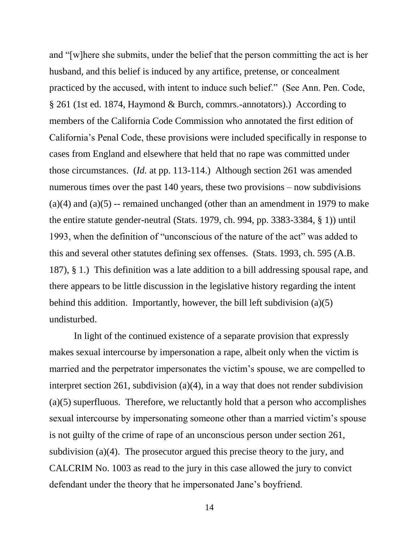and "[w]here she submits, under the belief that the person committing the act is her husband, and this belief is induced by any artifice, pretense, or concealment practiced by the accused, with intent to induce such belief." (See Ann. Pen. Code, § 261 (1st ed. 1874, Haymond & Burch, commrs.-annotators).) According to members of the California Code Commission who annotated the first edition of California"s Penal Code, these provisions were included specifically in response to cases from England and elsewhere that held that no rape was committed under those circumstances. (*Id.* at pp. 113-114.) Although section 261 was amended numerous times over the past 140 years, these two provisions – now subdivisions  $(a)(4)$  and  $(a)(5)$  -- remained unchanged (other than an amendment in 1979 to make the entire statute gender-neutral (Stats. 1979, ch. 994, pp. 3383-3384, § 1)) until 1993, when the definition of "unconscious of the nature of the act" was added to this and several other statutes defining sex offenses. (Stats. 1993, ch. 595 (A.B. 187), § 1.) This definition was a late addition to a bill addressing spousal rape, and there appears to be little discussion in the legislative history regarding the intent behind this addition. Importantly, however, the bill left subdivision (a)(5) undisturbed.

In light of the continued existence of a separate provision that expressly makes sexual intercourse by impersonation a rape, albeit only when the victim is married and the perpetrator impersonates the victim's spouse, we are compelled to interpret section 261, subdivision (a)(4), in a way that does not render subdivision (a)(5) superfluous. Therefore, we reluctantly hold that a person who accomplishes sexual intercourse by impersonating someone other than a married victim's spouse is not guilty of the crime of rape of an unconscious person under section 261, subdivision (a)(4). The prosecutor argued this precise theory to the jury, and CALCRIM No. 1003 as read to the jury in this case allowed the jury to convict defendant under the theory that he impersonated Jane"s boyfriend.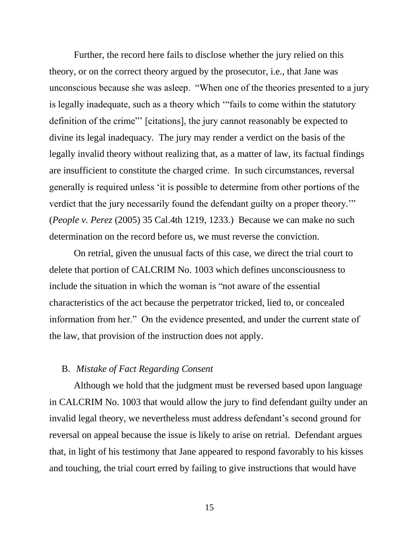Further, the record here fails to disclose whether the jury relied on this theory, or on the correct theory argued by the prosecutor, i.e., that Jane was unconscious because she was asleep. "When one of the theories presented to a jury is legally inadequate, such as a theory which ""fails to come within the statutory definition of the crime"" [citations], the jury cannot reasonably be expected to divine its legal inadequacy. The jury may render a verdict on the basis of the legally invalid theory without realizing that, as a matter of law, its factual findings are insufficient to constitute the charged crime. In such circumstances, reversal generally is required unless "it is possible to determine from other portions of the verdict that the jury necessarily found the defendant guilty on a proper theory."" (*People v. Perez* (2005) 35 Cal.4th 1219, 1233.) Because we can make no such determination on the record before us, we must reverse the conviction.

On retrial, given the unusual facts of this case, we direct the trial court to delete that portion of CALCRIM No. 1003 which defines unconsciousness to include the situation in which the woman is "not aware of the essential characteristics of the act because the perpetrator tricked, lied to, or concealed information from her." On the evidence presented, and under the current state of the law, that provision of the instruction does not apply.

## B. *Mistake of Fact Regarding Consent*

Although we hold that the judgment must be reversed based upon language in CALCRIM No. 1003 that would allow the jury to find defendant guilty under an invalid legal theory, we nevertheless must address defendant's second ground for reversal on appeal because the issue is likely to arise on retrial. Defendant argues that, in light of his testimony that Jane appeared to respond favorably to his kisses and touching, the trial court erred by failing to give instructions that would have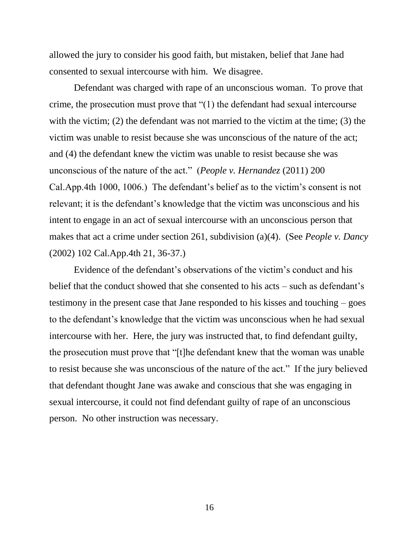allowed the jury to consider his good faith, but mistaken, belief that Jane had consented to sexual intercourse with him. We disagree.

Defendant was charged with rape of an unconscious woman. To prove that crime, the prosecution must prove that "(1) the defendant had sexual intercourse with the victim; (2) the defendant was not married to the victim at the time; (3) the victim was unable to resist because she was unconscious of the nature of the act; and (4) the defendant knew the victim was unable to resist because she was unconscious of the nature of the act." (*People v. Hernandez* (2011) 200 Cal.App.4th 1000, 1006.) The defendant's belief as to the victim's consent is not relevant; it is the defendant"s knowledge that the victim was unconscious and his intent to engage in an act of sexual intercourse with an unconscious person that makes that act a crime under section 261, subdivision (a)(4). (See *People v. Dancy* (2002) 102 Cal.App.4th 21, 36-37.)

Evidence of the defendant"s observations of the victim"s conduct and his belief that the conduct showed that she consented to his acts – such as defendant's testimony in the present case that Jane responded to his kisses and touching – goes to the defendant"s knowledge that the victim was unconscious when he had sexual intercourse with her. Here, the jury was instructed that, to find defendant guilty, the prosecution must prove that "[t]he defendant knew that the woman was unable to resist because she was unconscious of the nature of the act." If the jury believed that defendant thought Jane was awake and conscious that she was engaging in sexual intercourse, it could not find defendant guilty of rape of an unconscious person. No other instruction was necessary.